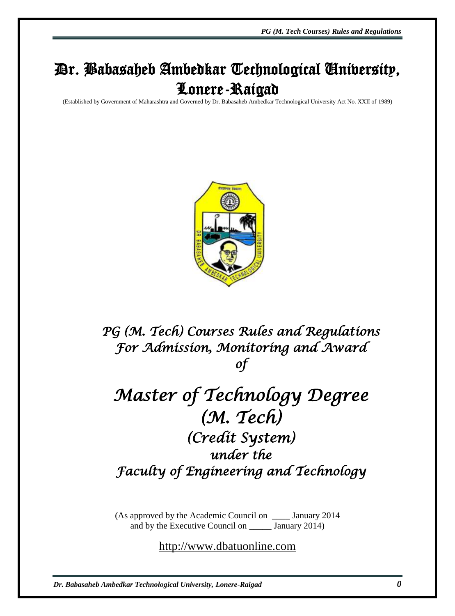*PG (M. Tech Courses) Rules and Regulations*

# Dr. Babasaheb Ambedkar Technological University, Lonere-Raigad

(Established by Government of Maharashtra and Governed by Dr. Babasaheb Ambedkar Technological University Act No. XXII of 1989)



*PG (M. Tech) Courses Rules and Regulations For Admission, Monitoring and Award of* 

# *Master of Technology Degree (M. Tech) (Credit System) under the Faculty of Engineering and Technology*

(As approved by the Academic Council on \_\_\_\_ January 2014 and by the Executive Council on \_\_\_\_\_ January 2014)

[http://www.dbatuonline.com](http://www.dbatuonline.com/)

*Dr. Babasaheb Ambedkar Technological University, Lonere-Raigad 0*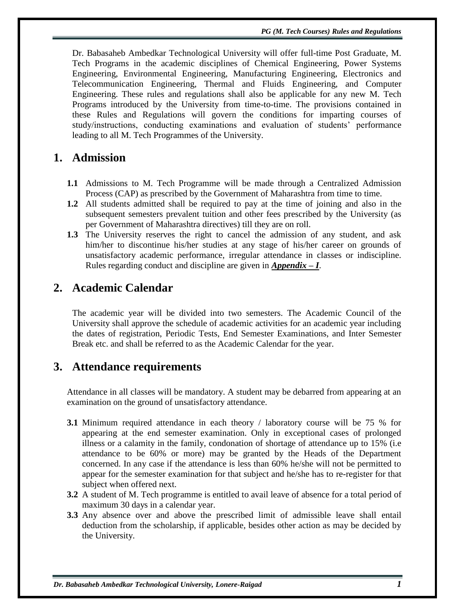Dr. Babasaheb Ambedkar Technological University will offer full-time Post Graduate, M. Tech Programs in the academic disciplines of Chemical Engineering, Power Systems Engineering, Environmental Engineering, Manufacturing Engineering, Electronics and Telecommunication Engineering, Thermal and Fluids Engineering, and Computer Engineering. These rules and regulations shall also be applicable for any new M. Tech Programs introduced by the University from time-to-time. The provisions contained in these Rules and Regulations will govern the conditions for imparting courses of study/instructions, conducting examinations and evaluation of students" performance leading to all M. Tech Programmes of the University.

### **1. Admission**

- **1.1** Admissions to M. Tech Programme will be made through a Centralized Admission Process (CAP) as prescribed by the Government of Maharashtra from time to time.
- **1.2** All students admitted shall be required to pay at the time of joining and also in the subsequent semesters prevalent tuition and other fees prescribed by the University (as per Government of Maharashtra directives) till they are on roll.
- **1.3** The University reserves the right to cancel the admission of any student, and ask him/her to discontinue his/her studies at any stage of his/her career on grounds of unsatisfactory academic performance, irregular attendance in classes or indiscipline. Rules regarding conduct and discipline are given in *Appendix – I*.

### **2. Academic Calendar**

The academic year will be divided into two semesters. The Academic Council of the University shall approve the schedule of academic activities for an academic year including the dates of registration, Periodic Tests, End Semester Examinations, and Inter Semester Break etc. and shall be referred to as the Academic Calendar for the year.

#### **3. Attendance requirements**

Attendance in all classes will be mandatory. A student may be debarred from appearing at an examination on the ground of unsatisfactory attendance.

- **3.1** Minimum required attendance in each theory / laboratory course will be 75 % for appearing at the end semester examination. Only in exceptional cases of prolonged illness or a calamity in the family, condonation of shortage of attendance up to 15% (i.e attendance to be 60% or more) may be granted by the Heads of the Department concerned. In any case if the attendance is less than 60% he/she will not be permitted to appear for the semester examination for that subject and he/she has to re-register for that subject when offered next.
- **3.2** A student of M. Tech programme is entitled to avail leave of absence for a total period of maximum 30 days in a calendar year.
- **3.3** Any absence over and above the prescribed limit of admissible leave shall entail deduction from the scholarship, if applicable, besides other action as may be decided by the University.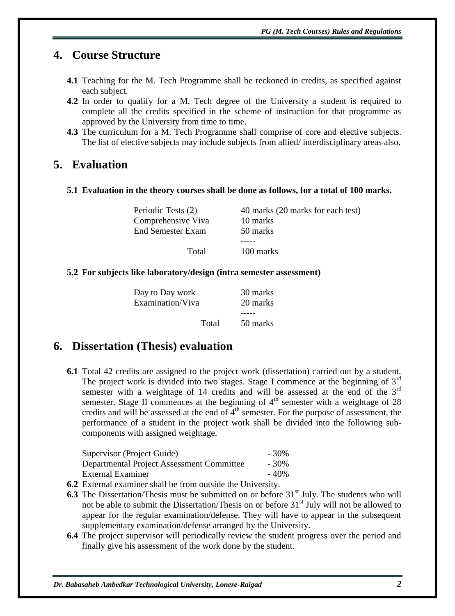# **4. Course Structure**

- **4.1** Teaching for the M. Tech Programme shall be reckoned in credits, as specified against each subject.
- **4.2** In order to qualify for a M. Tech degree of the University a student is required to complete all the credits specified in the scheme of instruction for that programme as approved by the University from time to time.
- **4.3** The curriculum for a M. Tech Programme shall comprise of core and elective subjects. The list of elective subjects may include subjects from allied/ interdisciplinary areas also.

## **5. Evaluation**

#### **5.1 Evaluation in the theory courses shall be done as follows, for a total of 100 marks.**

| Periodic Tests (2) | 40 marks (20 marks for each test) |
|--------------------|-----------------------------------|
| Comprehensive Viva | 10 marks                          |
| End Semester Exam  | 50 marks                          |
|                    |                                   |
| Total              | 100 marks                         |

#### **5.2 For subjects like laboratory/design (intra semester assessment)**

| Day to Day work<br>Examination/Viva |       | 30 marks<br>20 marks |
|-------------------------------------|-------|----------------------|
|                                     | Total | 50 marks             |

#### **6. Dissertation (Thesis) evaluation**

**6.1** Total 42 credits are assigned to the project work (dissertation) carried out by a student. The project work is divided into two stages. Stage I commence at the beginning of  $3<sup>rd</sup>$ semester with a weightage of 14 credits and will be assessed at the end of the  $3<sup>rd</sup>$ semester. Stage II commences at the beginning of  $4<sup>th</sup>$  semester with a weightage of 28 credits and will be assessed at the end of  $\tilde{4}^{th}$  semester. For the purpose of assessment, the performance of a student in the project work shall be divided into the following subcomponents with assigned weightage.

| Supervisor (Project Guide)                                                                      | $-30\%$ |
|-------------------------------------------------------------------------------------------------|---------|
| Departmental Project Assessment Committee                                                       |         |
| External Examiner                                                                               | $-40%$  |
| $\mathbf{r}$ , $\mathbf{r}$ , $\mathbf{r}$ , $\mathbf{r}$ , $\mathbf{r}$<br>.<br>$\blacksquare$ |         |

**6.2** External examiner shall be from outside the University.

- **6.3** The Dissertation/Thesis must be submitted on or before 31<sup>st</sup> July. The students who will not be able to submit the Dissertation/Thesis on or before  $31<sup>st</sup>$  July will not be allowed to appear for the regular examination/defense. They will have to appear in the subsequent supplementary examination/defense arranged by the University.
- **6.4** The project supervisor will periodically review the student progress over the period and finally give his assessment of the work done by the student.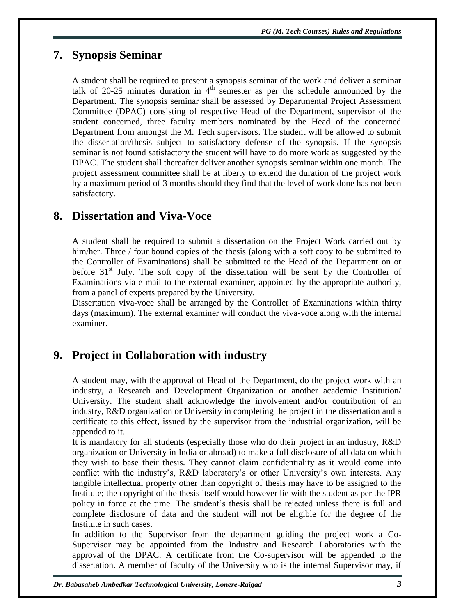## **7. Synopsis Seminar**

A student shall be required to present a synopsis seminar of the work and deliver a seminar talk of 20-25 minutes duration in  $4<sup>th</sup>$  semester as per the schedule announced by the Department. The synopsis seminar shall be assessed by Departmental Project Assessment Committee (DPAC) consisting of respective Head of the Department, supervisor of the student concerned, three faculty members nominated by the Head of the concerned Department from amongst the M. Tech supervisors. The student will be allowed to submit the dissertation/thesis subject to satisfactory defense of the synopsis. If the synopsis seminar is not found satisfactory the student will have to do more work as suggested by the DPAC. The student shall thereafter deliver another synopsis seminar within one month. The project assessment committee shall be at liberty to extend the duration of the project work by a maximum period of 3 months should they find that the level of work done has not been satisfactory.

## **8. Dissertation and Viva-Voce**

A student shall be required to submit a dissertation on the Project Work carried out by him/her. Three / four bound copies of the thesis (along with a soft copy to be submitted to the Controller of Examinations) shall be submitted to the Head of the Department on or before  $31<sup>st</sup>$  July. The soft copy of the dissertation will be sent by the Controller of Examinations via e-mail to the external examiner, appointed by the appropriate authority, from a panel of experts prepared by the University.

Dissertation viva-voce shall be arranged by the Controller of Examinations within thirty days (maximum). The external examiner will conduct the viva-voce along with the internal examiner.

# **9. Project in Collaboration with industry**

A student may, with the approval of Head of the Department, do the project work with an industry, a Research and Development Organization or another academic Institution/ University. The student shall acknowledge the involvement and/or contribution of an industry, R&D organization or University in completing the project in the dissertation and a certificate to this effect, issued by the supervisor from the industrial organization, will be appended to it.

It is mandatory for all students (especially those who do their project in an industry, R&D organization or University in India or abroad) to make a full disclosure of all data on which they wish to base their thesis. They cannot claim confidentiality as it would come into conflict with the industry's, R&D laboratory's or other University's own interests. Any tangible intellectual property other than copyright of thesis may have to be assigned to the Institute; the copyright of the thesis itself would however lie with the student as per the IPR policy in force at the time. The student"s thesis shall be rejected unless there is full and complete disclosure of data and the student will not be eligible for the degree of the Institute in such cases.

In addition to the Supervisor from the department guiding the project work a Co-Supervisor may be appointed from the Industry and Research Laboratories with the approval of the DPAC. A certificate from the Co-supervisor will be appended to the dissertation. A member of faculty of the University who is the internal Supervisor may, if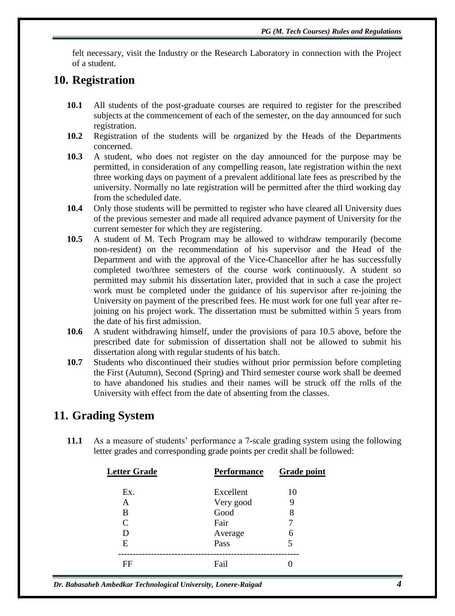felt necessary, visit the Industry or the Research Laboratory in connection with the Project of a student.

### **10. Registration**

- **10.1** All students of the post-graduate courses are required to register for the prescribed subjects at the commencement of each of the semester, on the day announced for such registration.
- **10.2** Registration of the students will be organized by the Heads of the Departments concerned.
- **10.3** A student, who does not register on the day announced for the purpose may be permitted, in consideration of any compelling reason, late registration within the next three working days on payment of a prevalent additional late fees as prescribed by the university. Normally no late registration will be permitted after the third working day from the scheduled date.
- **10.4** Only those students will be permitted to register who have cleared all University dues of the previous semester and made all required advance payment of University for the current semester for which they are registering.
- **10.5** A student of M. Tech Program may be allowed to withdraw temporarily (become non-resident) on the recommendation of his supervisor and the Head of the Department and with the approval of the Vice-Chancellor after he has successfully completed two/three semesters of the course work continuously. A student so permitted may submit his dissertation later, provided that in such a case the project work must be completed under the guidance of his supervisor after re-joining the University on payment of the prescribed fees. He must work for one full year after rejoining on his project work. The dissertation must be submitted within 5 years from the date of his first admission.
- **10.6** A student withdrawing himself, under the provisions of para 10.5 above, before the prescribed date for submission of dissertation shall not be allowed to submit his dissertation along with regular students of his batch.
- **10.7** Students who discontinued their studies without prior permission before completing the First (Autumn), Second (Spring) and Third semester course work shall be deemed to have abandoned his studies and their names will be struck off the rolls of the University with effect from the date of absenting from the classes.

### **11. Grading System**

**11.1** As a measure of students" performance a 7-scale grading system using the following letter grades and corresponding grade points per credit shall be followed:

| <b>Letter Grade</b>         | <b>Performance</b> | <b>Grade point</b> |
|-----------------------------|--------------------|--------------------|
| Ex.                         | Excellent          | 10                 |
| Α                           | Very good          | Ϋ                  |
| В                           | Good               | 8                  |
| $\mathcal{C}_{\mathcal{C}}$ | Fair               |                    |
|                             | Average            | 6                  |
| E                           | Pass               |                    |
| FF                          | Fail               |                    |

*Dr. Babasaheb Ambedkar Technological University, Lonere-Raigad 4*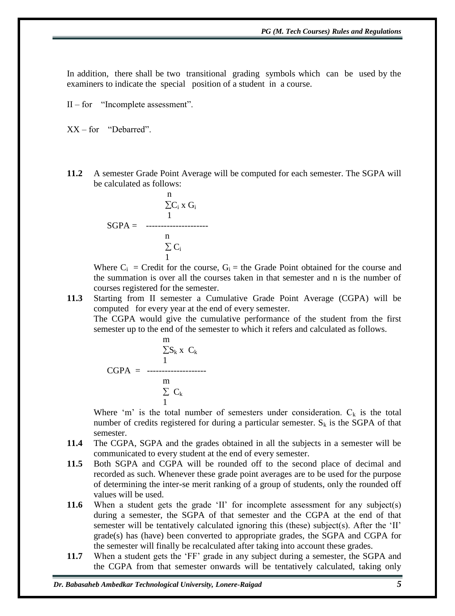In addition, there shall be two transitional grading symbols which can be used by the examiners to indicate the special position of a student in a course.

II – for "Incomplete assessment".

XX – for "Debarred".

**11.2** A semester Grade Point Average will be computed for each semester. The SGPA will be calculated as follows:

$$
\begin{array}{r}\n\text{n} \\
\sum C_i \times G_i \\
1 \\
\text{SGPA} = \begin{array}{r}\n1 \\
\text{n} \\
\sum C_i \\
1\n\end{array}\n\end{array}
$$

Where  $C_i$  = Credit for the course,  $G_i$  = the Grade Point obtained for the course and the summation is over all the courses taken in that semester and n is the number of courses registered for the semester.

**11.3** Starting from II semester a Cumulative Grade Point Average (CGPA) will be computed for every year at the end of every semester.

The CGPA would give the cumulative performance of the student from the first semester up to the end of the semester to which it refers and calculated as follows.

$$
\frac{m}{\sum S_k} x C_k
$$
  
CGPA = 1  

$$
\frac{m}{\sum C_k}
$$

Where 'm' is the total number of semesters under consideration.  $C_k$  is the total number of credits registered for during a particular semester.  $S_k$  is the SGPA of that semester.

- **11.4** The CGPA, SGPA and the grades obtained in all the subjects in a semester will be communicated to every student at the end of every semester.
- **11.5** Both SGPA and CGPA will be rounded off to the second place of decimal and recorded as such. Whenever these grade point averages are to be used for the purpose of determining the inter-se merit ranking of a group of students, only the rounded off values will be used.
- **11.6** When a student gets the grade 'II' for incomplete assessment for any subject(s) during a semester, the SGPA of that semester and the CGPA at the end of that semester will be tentatively calculated ignoring this (these) subject(s). After the 'II' grade(s) has (have) been converted to appropriate grades, the SGPA and CGPA for the semester will finally be recalculated after taking into account these grades.
- 11.7 When a student gets the 'FF' grade in any subject during a semester, the SGPA and the CGPA from that semester onwards will be tentatively calculated, taking only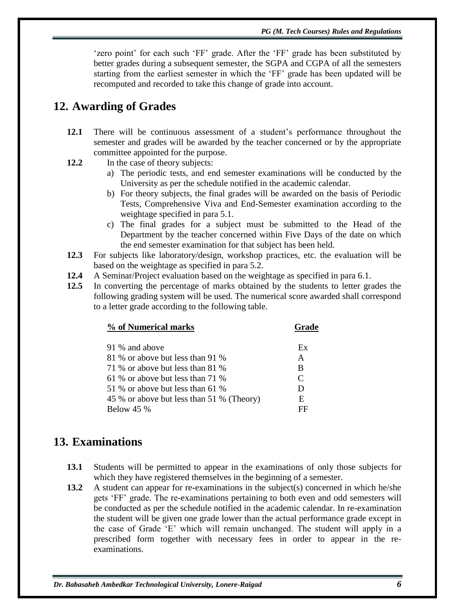'zero point' for each such 'FF' grade. After the 'FF' grade has been substituted by better grades during a subsequent semester, the SGPA and CGPA of all the semesters starting from the earliest semester in which the "FF" grade has been updated will be recomputed and recorded to take this change of grade into account.

# **12. Awarding of Grades**

- **12.1** There will be continuous assessment of a student"s performance throughout the semester and grades will be awarded by the teacher concerned or by the appropriate committee appointed for the purpose.
- **12.2** In the case of theory subjects:
	- a) The periodic tests, and end semester examinations will be conducted by the University as per the schedule notified in the academic calendar.
	- b) For theory subjects, the final grades will be awarded on the basis of Periodic Tests, Comprehensive Viva and End-Semester examination according to the weightage specified in para 5.1.
	- c) The final grades for a subject must be submitted to the Head of the Department by the teacher concerned within Five Days of the date on which the end semester examination for that subject has been held.
- **12.3** For subjects like laboratory/design, workshop practices, etc. the evaluation will be based on the weightage as specified in para 5.2.
- **12.4** A Seminar/Project evaluation based on the weightage as specified in para 6.1.
- **12.5** In converting the percentage of marks obtained by the students to letter grades the following grading system will be used. The numerical score awarded shall correspond to a letter grade according to the following table.

| % of Numerical marks                      | Grade         |
|-------------------------------------------|---------------|
|                                           |               |
| 91 % and above                            | Ex            |
| 81 % or above but less than 91 %          | A             |
| 71 % or above but less than 81 %          | B             |
| 61 % or above but less than 71 %          | $\mathcal{C}$ |
| 51 % or above but less than 61 %          | D             |
| 45 % or above but less than 51 % (Theory) | E             |
| <b>Below 45 %</b>                         | FF            |

# **13. Examinations**

- **13.1** Students will be permitted to appear in the examinations of only those subjects for which they have registered themselves in the beginning of a semester.
- **13.2** A student can appear for re-examinations in the subject(s) concerned in which he/she gets "FF" grade. The re-examinations pertaining to both even and odd semesters will be conducted as per the schedule notified in the academic calendar. In re-examination the student will be given one grade lower than the actual performance grade except in the case of Grade "E" which will remain unchanged. The student will apply in a prescribed form together with necessary fees in order to appear in the reexaminations.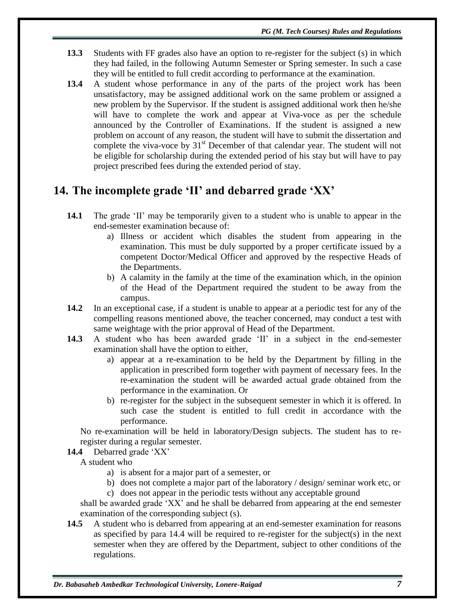- **13.3** Students with FF grades also have an option to re-register for the subject (s) in which they had failed, in the following Autumn Semester or Spring semester. In such a case they will be entitled to full credit according to performance at the examination.
- **13.4** A student whose performance in any of the parts of the project work has been unsatisfactory, may be assigned additional work on the same problem or assigned a new problem by the Supervisor. If the student is assigned additional work then he/she will have to complete the work and appear at Viva-voce as per the schedule announced by the Controller of Examinations. If the student is assigned a new problem on account of any reason, the student will have to submit the dissertation and complete the viva-voce by  $31<sup>st</sup>$  December of that calendar year. The student will not be eligible for scholarship during the extended period of his stay but will have to pay project prescribed fees during the extended period of stay.

# **14. The incomplete grade 'II' and debarred grade 'XX'**

- **14.1** The grade 'II' may be temporarily given to a student who is unable to appear in the end-semester examination because of:
	- a) Illness or accident which disables the student from appearing in the examination. This must be duly supported by a proper certificate issued by a competent Doctor/Medical Officer and approved by the respective Heads of the Departments.
	- b) A calamity in the family at the time of the examination which, in the opinion of the Head of the Department required the student to be away from the campus.
- **14.2** In an exceptional case, if a student is unable to appear at a periodic test for any of the compelling reasons mentioned above, the teacher concerned, may conduct a test with same weightage with the prior approval of Head of the Department.
- **14.3** A student who has been awarded grade 'II' in a subject in the end-semester examination shall have the option to either,
	- a) appear at a re-examination to be held by the Department by filling in the application in prescribed form together with payment of necessary fees. In the re-examination the student will be awarded actual grade obtained from the performance in the examination. Or
	- b) re-register for the subject in the subsequent semester in which it is offered. In such case the student is entitled to full credit in accordance with the performance.

No re-examination will be held in laboratory/Design subjects. The student has to reregister during a regular semester.

**14.4** Debarred grade "XX"

A student who

- a) is absent for a major part of a semester, or
- b) does not complete a major part of the laboratory / design/ seminar work etc, or
- c) does not appear in the periodic tests without any acceptable ground

shall be awarded grade "XX" and he shall be debarred from appearing at the end semester examination of the corresponding subject (s).

**14.5** A student who is debarred from appearing at an end-semester examination for reasons as specified by para 14.4 will be required to re-register for the subject(s) in the next semester when they are offered by the Department, subject to other conditions of the regulations.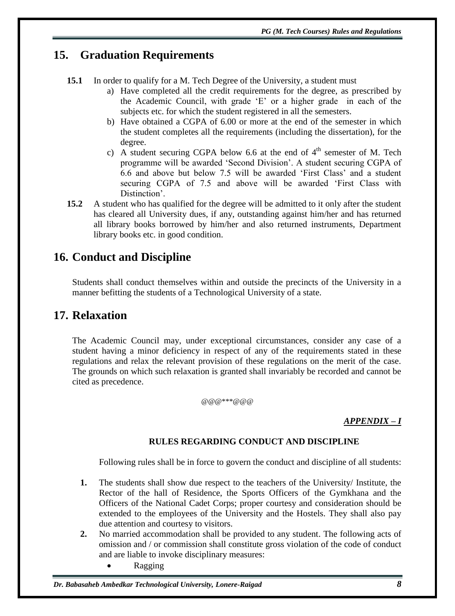# **15. Graduation Requirements**

- **15.1** In order to qualify for a M. Tech Degree of the University, a student must
	- a) Have completed all the credit requirements for the degree, as prescribed by the Academic Council, with grade "E" or a higher grade in each of the subjects etc. for which the student registered in all the semesters.
	- b) Have obtained a CGPA of 6.00 or more at the end of the semester in which the student completes all the requirements (including the dissertation), for the degree.
	- c) A student securing CGPA below 6.6 at the end of  $4<sup>th</sup>$  semester of M. Tech programme will be awarded "Second Division". A student securing CGPA of 6.6 and above but below 7.5 will be awarded "First Class" and a student securing CGPA of 7.5 and above will be awarded "First Class with Distinction'.
- **15.2** A student who has qualified for the degree will be admitted to it only after the student has cleared all University dues, if any, outstanding against him/her and has returned all library books borrowed by him/her and also returned instruments, Department library books etc. in good condition.

# **16. Conduct and Discipline**

Students shall conduct themselves within and outside the precincts of the University in a manner befitting the students of a Technological University of a state.

# **17. Relaxation**

The Academic Council may, under exceptional circumstances, consider any case of a student having a minor deficiency in respect of any of the requirements stated in these regulations and relax the relevant provision of these regulations on the merit of the case. The grounds on which such relaxation is granted shall invariably be recorded and cannot be cited as precedence.

#### @@@\*\*\*@@@

#### *APPENDIX – I*

#### **RULES REGARDING CONDUCT AND DISCIPLINE**

Following rules shall be in force to govern the conduct and discipline of all students:

- **1.** The students shall show due respect to the teachers of the University/ Institute, the Rector of the hall of Residence, the Sports Officers of the Gymkhana and the Officers of the National Cadet Corps; proper courtesy and consideration should be extended to the employees of the University and the Hostels. They shall also pay due attention and courtesy to visitors.
- **2.** No married accommodation shall be provided to any student. The following acts of omission and / or commission shall constitute gross violation of the code of conduct and are liable to invoke disciplinary measures:
	- Ragging

#### *Dr. Babasaheb Ambedkar Technological University, Lonere-Raigad 8*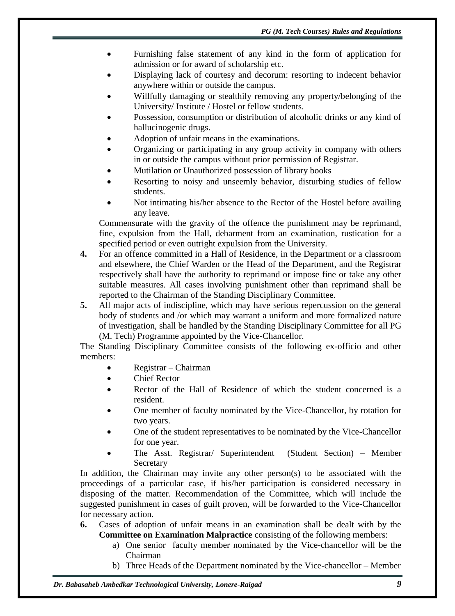- Furnishing false statement of any kind in the form of application for admission or for award of scholarship etc.
- Displaying lack of courtesy and decorum: resorting to indecent behavior anywhere within or outside the campus.
- Willfully damaging or stealthily removing any property/belonging of the University/ Institute / Hostel or fellow students.
- Possession, consumption or distribution of alcoholic drinks or any kind of hallucinogenic drugs.
- Adoption of unfair means in the examinations.
- Organizing or participating in any group activity in company with others in or outside the campus without prior permission of Registrar.
- Mutilation or Unauthorized possession of library books
- Resorting to noisy and unseemly behavior, disturbing studies of fellow students.
- Not intimating his/her absence to the Rector of the Hostel before availing any leave.

Commensurate with the gravity of the offence the punishment may be reprimand, fine, expulsion from the Hall, debarment from an examination, rustication for a specified period or even outright expulsion from the University.

- **4.** For an offence committed in a Hall of Residence, in the Department or a classroom and elsewhere, the Chief Warden or the Head of the Department, and the Registrar respectively shall have the authority to reprimand or impose fine or take any other suitable measures. All cases involving punishment other than reprimand shall be reported to the Chairman of the Standing Disciplinary Committee.
- **5.** All major acts of indiscipline, which may have serious repercussion on the general body of students and /or which may warrant a uniform and more formalized nature of investigation, shall be handled by the Standing Disciplinary Committee for all PG (M. Tech) Programme appointed by the Vice-Chancellor.

The Standing Disciplinary Committee consists of the following ex-officio and other members:

- Registrar Chairman
- Chief Rector
- Rector of the Hall of Residence of which the student concerned is a resident.
- One member of faculty nominated by the Vice-Chancellor, by rotation for two years.
- One of the student representatives to be nominated by the Vice-Chancellor for one year.
- The Asst. Registrar/ Superintendent (Student Section) Member **Secretary**

In addition, the Chairman may invite any other person(s) to be associated with the proceedings of a particular case, if his/her participation is considered necessary in disposing of the matter. Recommendation of the Committee, which will include the suggested punishment in cases of guilt proven, will be forwarded to the Vice-Chancellor for necessary action.

- **6.** Cases of adoption of unfair means in an examination shall be dealt with by the **Committee on Examination Malpractice** consisting of the following members:
	- a) One senior faculty member nominated by the Vice-chancellor will be the Chairman
	- b) Three Heads of the Department nominated by the Vice-chancellor Member